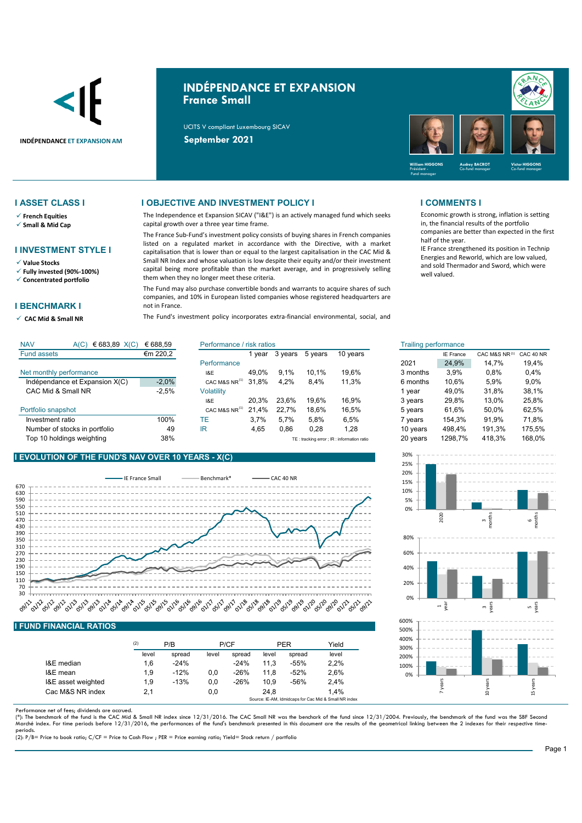

# **INDÉPENDANCE ET EXPANSION France Small**

UCITS V compliant Luxembourg SICAV



- **French Equities**
- **Small & Mid Cap**

### **I INVESTMENT STYLE I**

**Value Stocks**

**Fully invested (90%-100%)**

**Concentrated portfolio**

### **I BENCHMARK I**

**CAC Mid & Small NR** 

### **I ASSET CLASS I I OBJECTIVE AND INVESTMENT POLICY I I COMMENTS I**

The Independence et Expansion SICAV ("I&E") is an actively managed fund which seeks capital growth over a three year time frame.

The France Sub-Fund's investment policy consists of buying shares in French companies listed on a regulated market in accordance with the Directive, with a market capitalisation that is lower than or equal to the largest capitalisation in the CAC Mid & Small NR Index and whose valuation is low despite their equity and/or their investment capital being more profitable than the market average, and in progressively selling them when they no longer meet these criteria.

The Fund may also purchase convertible bonds and warrants to acquire shares of such companies, and 10% in European listed companies whose registered headquarters are not in France.

The Fund's investment policy incorporates extra-financial environmental, social, and

Economic growth is strong, inflation is setting in, the financial results of the portfolio companies are better than expected in the first half of the year.

IE France strengthened its position in Technip Energies and Reworld, which are low valued, and sold Thermador and Sword, which were well valued.

| <b>NAV</b><br>€ 683,89 $X(C)$<br>A(C) | € 688,59 | Performance / risk ratios |       |         | Trailing performance |                                             |          |                  |               |           |
|---------------------------------------|----------|---------------------------|-------|---------|----------------------|---------------------------------------------|----------|------------------|---------------|-----------|
| <b>Fund assets</b>                    | €m 220,2 |                           | vear  | 3 years | 5 years              | 10 years                                    |          | <b>IE France</b> | CAC M&S NR(1) | CAC 40 NF |
|                                       |          | Performance               |       |         |                      |                                             | 2021     | 24.9%            | 14.7%         | 19.4%     |
| Net monthly performance               |          | I&E                       | 49.0% | 9.1%    | 10.1%                | 19.6%                                       | 3 months | 3.9%             | 0.8%          | 0,4%      |
| Indépendance et Expansion X(C)        | $-2,0%$  | CAC M&S NR <sup>(1)</sup> | 31.8% | 4.2%    | 8.4%                 | 11.3%                                       | 6 months | 10.6%            | 5,9%          | $9,0\%$   |
| CAC Mid & Small NR                    | $-2,5%$  | Volatilitv                |       |         |                      |                                             | vear     | 49.0%            | 31.8%         | 38.1%     |
|                                       |          | I&E                       | 20.3% | 23.6%   | 19.6%                | 16.9%                                       | 3 years  | 29,8%            | 13.0%         | 25,8%     |
| Portfolio snapshot                    |          | CAC M&S NR <sup>(1)</sup> | 21.4% | 22.7%   | 18.6%                | 16.5%                                       | 5 years  | 61.6%            | 50.0%         | 62,5%     |
| Investment ratio                      | 100%     | ТE                        | 3.7%  | 5.7%    | 5.8%                 | 6.5%                                        | ' vears  | 154.3%           | 91.9%         | 71.8%     |
| Number of stocks in portfolio         | 49       | ΙR                        | 4.65  | 0,86    | 0.28                 | 1.28                                        | 10 vears | 498.4%           | 191.3%        | 175,5%    |
| Top 10 holdings weighting             | 38%      |                           |       |         |                      | TE: tracking error ; IR : information ratio | 20 years | 1298.7%          | 418.3%        | 168,0%    |

## **I EVOLUTION OF THE FUND'S NAV OVER 10 YEARS - X(C)**



### **I FUND FINANCIAL RATIOS**

|                    | (2)   | P/B    |       | P/CF   |       | <b>PER</b> | Yield |
|--------------------|-------|--------|-------|--------|-------|------------|-------|
|                    | level | spread | level | spread | level | spread     | level |
| I&E median         | 1.6   | $-24%$ |       | $-24%$ | 11.3  | $-55%$     | 2,2%  |
| I&E mean           | 1.9   | $-12%$ | 0.0   | $-26%$ | 11.8  | $-52%$     | 2.6%  |
| I&E asset weighted | 1.9   | $-13%$ | 0,0   | $-26%$ | 10.9  | $-56%$     | 2,4%  |
| Cac M&S NR index   | 2.1   |        | 0,0   |        | 24.8  |            | 1.4%  |

Performance net of fees; dividends are accrued.

(\*): The benchmark of the fund is the CAC Mid & Small NR index since 12/31/2016. The CAC Small NR was the benchark of the fund since 12/31/2004. Previously, the benchmark of the fund was the SBF Second<br>Marché index. For ti periods.

(2): P/B= Price to book ratio; C/CF = Price to Cash Flow ; PER = Price earning ratio; Yield= Stock return / portfolio

| isk ratios |         |         |          | <b>Trailing performance</b> |                  |               |           |
|------------|---------|---------|----------|-----------------------------|------------------|---------------|-----------|
| 1 year     | 3 years | 5 years | 10 years |                             | <b>IE France</b> | CAC M&S NR(1) | CAC 40 NR |
|            |         |         |          | 2021                        | 24.9%            | 14.7%         | 19.4%     |
| 49,0%      | 9.1%    | 10.1%   | 19.6%    | 3 months                    | 3.9%             | 0.8%          | 0.4%      |
| 31.8%      | 4.2%    | 8.4%    | 11.3%    | 6 months                    | 10.6%            | 5.9%          | $9.0\%$   |
|            |         |         |          | 1 year                      | 49.0%            | 31.8%         | 38.1%     |
| 20.3%      | 23.6%   | 19.6%   | 16.9%    | 3 years                     | 29.8%            | 13.0%         | 25,8%     |
| 21,4%      | 22,7%   | 18.6%   | 16,5%    | 5 years                     | 61.6%            | 50.0%         | 62,5%     |
| 3.7%       | 5.7%    | 5.8%    | 6.5%     | 7 years                     | 154.3%           | 91.9%         | 71,8%     |
| 4,65       | 0,86    | 0,28    | 1,28     | 10 years                    | 498.4%           | 191.3%        | 175.5%    |
|            |         |         |          | $\sim$ $\sim$               | $1000 - 201$     | $\cdots$      | 10000     |